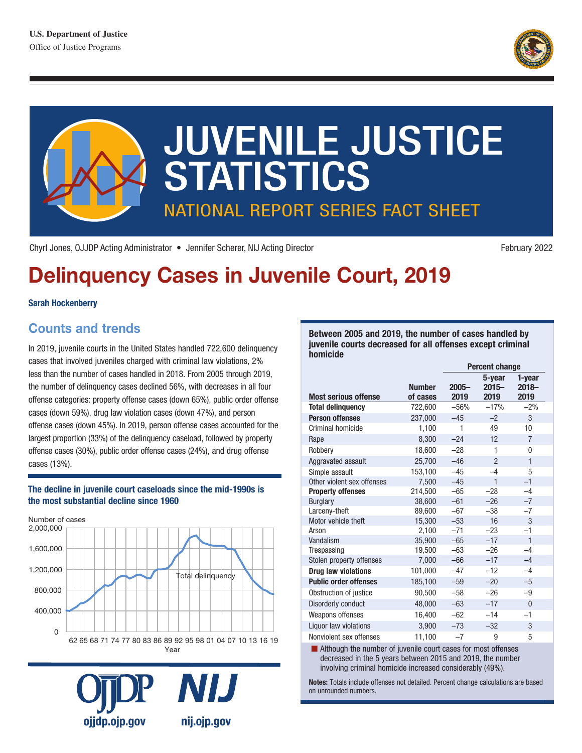



Chyrl Jones, OJJDP Acting Administrator • Jennifer Scherer, NIJ Acting Director

February 2022

# Delinquency Cases in Juvenile Court, 2019

#### Sarah Hockenberry

## Counts and trends

 offense cases (30%), public order offense cases (24%), and drug offense In 2019, juvenile courts in the United States handled 722,600 delinquency cases that involved juveniles charged with criminal law violations, 2% less than the number of cases handled in 2018. From 2005 through 2019, the number of delinquency cases declined 56%, with decreases in all four offense categories: property offense cases (down 65%), public order offense cases (down 59%), drug law violation cases (down 47%), and person offense cases (down 45%). In 2019, person offense cases accounted for the largest proportion (33%) of the delinquency caseload, followed by property cases (13%).

#### The decline in juvenile court caseloads since the mid-1990s is the most substantial decline since 1960





Between 2005 and 2019, the number of cases handled by juvenile courts decreased for all offenses except criminal homicide

|                              |                           | <b>Percent change</b> |                            |                            |
|------------------------------|---------------------------|-----------------------|----------------------------|----------------------------|
| <b>Most serious offense</b>  | <b>Number</b><br>of cases | $2005 -$<br>2019      | 5-year<br>$2015 -$<br>2019 | 1-year<br>$2018 -$<br>2019 |
| <b>Total delinquency</b>     | 722,600                   | $-56%$                | $-17%$                     | $-2%$                      |
| <b>Person offenses</b>       | 237.000                   | $-45$                 | $-2$                       | 3                          |
| Criminal homicide            | 1,100                     | 1                     | 49                         | 10                         |
| Rape                         | 8,300                     | $-24$                 | 12                         | $\overline{7}$             |
| Robbery                      | 18,600                    | $-28$                 | 1                          | 0                          |
| Aggravated assault           | 25,700                    | $-46$                 | $\overline{2}$             | $\mathbf{1}$               |
| Simple assault               | 153,100                   | $-45$                 | $-4$                       | 5                          |
| Other violent sex offenses   | 7,500                     | $-45$                 | $\mathbf{1}$               | $-1$                       |
| <b>Property offenses</b>     | 214,500                   | $-65$                 | $-28$                      | $-4$                       |
| <b>Burglary</b>              | 38,600                    | $-61$                 | $-26$                      | $-7$                       |
| Larceny-theft                | 89,600                    | $-67$                 | $-38$                      | $-7$                       |
| Motor vehicle theft          | 15,300                    | $-53$                 | 16                         | 3                          |
| Arson                        | 2,100                     | $-71$                 | $-23$                      | $-1$                       |
| Vandalism                    | 35,900                    | $-65$                 | $-17$                      | $\mathbf{1}$               |
| Trespassing                  | 19,500                    | $-63$                 | $-26$                      | $-4$                       |
| Stolen property offenses     | 7,000                     | $-66$                 | $-17$                      | $-4$                       |
| Drug law violations          | 101,000                   | $-47$                 | $-12$                      | $-4$                       |
| <b>Public order offenses</b> | 185,100                   | $-59$                 | $-20$                      | $-5$                       |
| Obstruction of justice       | 90.500                    | $-58$                 | $-26$                      | $-9$                       |
| <b>Disorderly conduct</b>    | 48,000                    | $-63$                 | $-17$                      | $\overline{0}$             |
| Weapons offenses             | 16,400                    | $-62$                 | $-14$                      | $-1$                       |
| Liquor law violations        | 3,900                     | $-73$                 | $-32$                      | 3                          |
| Nonviolent sex offenses      | 11,100                    | $-7$                  | 9                          | 5                          |

 $\blacksquare$  Although the number of juvenile court cases for most offenses decreased in the 5 years between 2015 and 2019, the number involving criminal homicide increased considerably (49%).

Notes: Totals include offenses not detailed. Percent change calculations are based on unrounded numbers.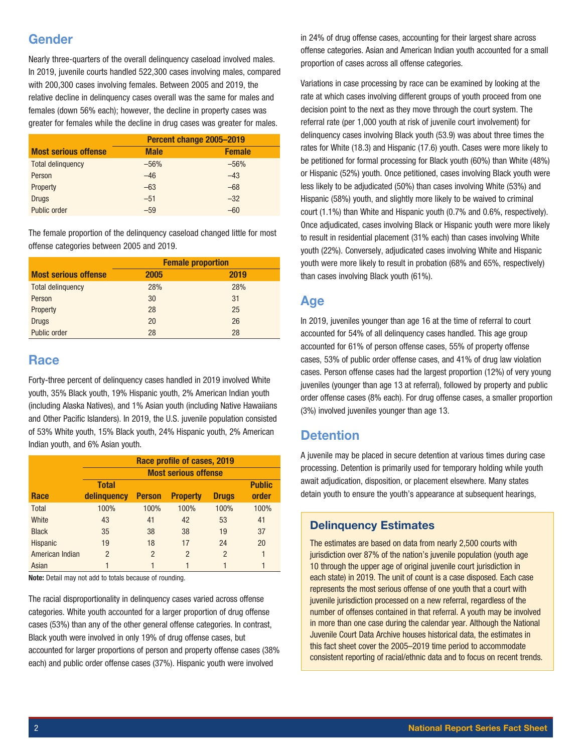## Gender

Nearly three-quarters of the overall delinquency caseload involved males. In 2019, juvenile courts handled 522,300 cases involving males, compared with 200,300 cases involving females. Between 2005 and 2019, the relative decline in delinquency cases overall was the same for males and females (down 56% each); however, the decline in property cases was greater for females while the decline in drug cases was greater for males.

|                             | Percent change 2005-2019 |               |  |
|-----------------------------|--------------------------|---------------|--|
| <b>Most serious offense</b> | <b>Male</b>              | <b>Female</b> |  |
| <b>Total delinquency</b>    | $-56%$                   | $-56%$        |  |
| Person                      | $-46$                    | $-43$         |  |
| Property                    | $-63$                    | $-68$         |  |
| <b>Drugs</b>                | $-51$                    | $-32$         |  |
| Public order                | $-59$                    | $-60$         |  |

The female proportion of the delinquency caseload changed little for most offense categories between 2005 and 2019.

|                             | <b>Female proportion</b> |      |  |
|-----------------------------|--------------------------|------|--|
| <b>Most serious offense</b> | 2005                     | 2019 |  |
| <b>Total delinquency</b>    | 28%                      | 28%  |  |
| Person                      | 30                       | 31   |  |
| Property                    | 28                       | 25   |  |
| <b>Drugs</b>                | 20                       | 26   |  |
| Public order                | 28                       | 28   |  |

## **Race**

Forty-three percent of delinquency cases handled in 2019 involved White youth, 35% Black youth, 19% Hispanic youth, 2% American Indian youth (including Alaska Natives), and 1% Asian youth (including Native Hawaiians and Other Pacific Islanders). In 2019, the U.S. juvenile population consisted of 53% White youth, 15% Black youth, 24% Hispanic youth, 2% American Indian youth, and 6% Asian youth.

|                 | Race profile of cases, 2019 |                |                 |               |               |
|-----------------|-----------------------------|----------------|-----------------|---------------|---------------|
|                 | <b>Most serious offense</b> |                |                 |               |               |
|                 | <b>Total</b>                |                |                 |               | <b>Public</b> |
| Race            | delinguency                 | <b>Person</b>  | <b>Property</b> | <b>Drugs</b>  | order         |
| <b>Total</b>    | 100%                        | 100%           | 100%            | 100%          | 100%          |
| White           | 43                          | 41             | 42              | 53            | 41            |
| <b>Black</b>    | 35                          | 38             | 38              | 19            | 37            |
| <b>Hispanic</b> | 19                          | 18             | 17              | 24            | 20            |
| American Indian | $\mathfrak{p}$              | $\overline{2}$ | 2               | $\mathcal{P}$ | 1             |
| Asian           |                             |                |                 |               | 1             |

Note: Detail may not add to totals because of rounding.

The racial disproportionality in delinquency cases varied across offense categories. White youth accounted for a larger proportion of drug offense cases (53%) than any of the other general offense categories. In contrast, Black youth were involved in only 19% of drug offense cases, but accounted for larger proportions of person and property offense cases (38% each) and public order offense cases (37%). Hispanic youth were involved

in 24% of drug offense cases, accounting for their largest share across offense categories. Asian and American Indian youth accounted for a small proportion of cases across all offense categories.

 court (1.1%) than White and Hispanic youth (0.7% and 0.6%, respectively). Variations in case processing by race can be examined by looking at the rate at which cases involving different groups of youth proceed from one decision point to the next as they move through the court system. The referral rate (per 1,000 youth at risk of juvenile court involvement) for delinquency cases involving Black youth (53.9) was about three times the rates for White (18.3) and Hispanic (17.6) youth. Cases were more likely to be petitioned for formal processing for Black youth (60%) than White (48%) or Hispanic (52%) youth. Once petitioned, cases involving Black youth were less likely to be adjudicated (50%) than cases involving White (53%) and Hispanic (58%) youth, and slightly more likely to be waived to criminal Once adjudicated, cases involving Black or Hispanic youth were more likely to result in residential placement (31% each) than cases involving White youth (22%). Conversely, adjudicated cases involving White and Hispanic youth were more likely to result in probation (68% and 65%, respectively) than cases involving Black youth (61%).

## Age

In 2019, juveniles younger than age 16 at the time of referral to court accounted for 54% of all delinquency cases handled. This age group accounted for 61% of person offense cases, 55% of property offense cases, 53% of public order offense cases, and 41% of drug law violation cases. Person offense cases had the largest proportion (12%) of very young juveniles (younger than age 13 at referral), followed by property and public order offense cases (8% each). For drug offense cases, a smaller proportion (3%) involved juveniles younger than age 13.

# **Detention**

A juvenile may be placed in secure detention at various times during case processing. Detention is primarily used for temporary holding while youth await adjudication, disposition, or placement elsewhere. Many states detain youth to ensure the youth's appearance at subsequent hearings,

#### Delinquency Estimates

The estimates are based on data from nearly 2,500 courts with jurisdiction over 87% of the nation's juvenile population (youth age 10 through the upper age of original juvenile court jurisdiction in each state) in 2019. The unit of count is a case disposed. Each case represents the most serious offense of one youth that a court with juvenile jurisdiction processed on a new referral, regardless of the number of offenses contained in that referral. A youth may be involved in more than one case during the calendar year. Although the National Juvenile Court Data Archive houses historical data, the estimates in this fact sheet cover the 2005–2019 time period to accommodate consistent reporting of racial/ethnic data and to focus on recent trends.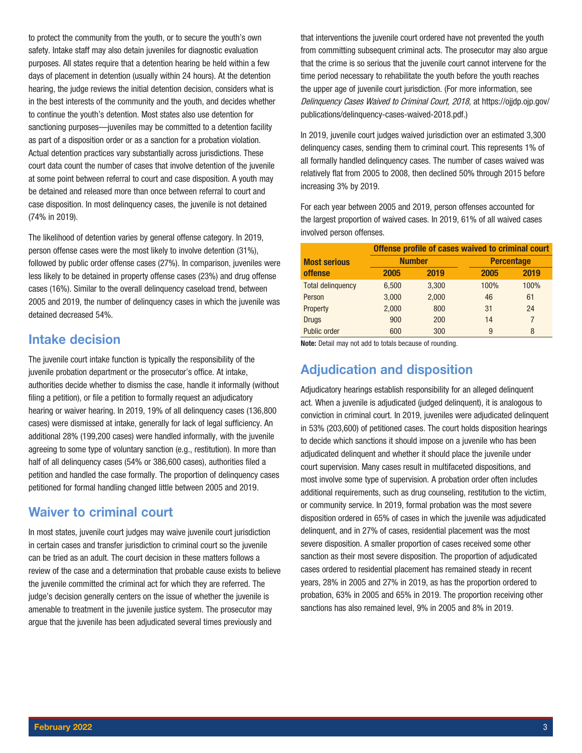to protect the community from the youth, or to secure the youth's own safety. Intake staff may also detain juveniles for diagnostic evaluation purposes. All states require that a detention hearing be held within a few days of placement in detention (usually within 24 hours). At the detention hearing, the judge reviews the initial detention decision, considers what is in the best interests of the community and the youth, and decides whether to continue the youth's detention. Most states also use detention for sanctioning purposes—juveniles may be committed to a detention facility as part of a disposition order or as a sanction for a probation violation. Actual detention practices vary substantially across jurisdictions. These court data count the number of cases that involve detention of the juvenile at some point between referral to court and case disposition. A youth may be detained and released more than once between referral to court and case disposition. In most delinquency cases, the juvenile is not detained (74% in 2019).

The likelihood of detention varies by general offense category. In 2019, person offense cases were the most likely to involve detention (31%), followed by public order offense cases (27%). In comparison, juveniles were less likely to be detained in property offense cases (23%) and drug offense cases (16%). Similar to the overall delinquency caseload trend, between 2005 and 2019, the number of delinquency cases in which the juvenile was detained decreased 54%.

#### Intake decision

The juvenile court intake function is typically the responsibility of the juvenile probation department or the prosecutor's office. At intake, authorities decide whether to dismiss the case, handle it informally (without filing a petition), or file a petition to formally request an adjudicatory hearing or waiver hearing. In 2019, 19% of all delinquency cases (136,800 cases) were dismissed at intake, generally for lack of legal sufficiency. An additional 28% (199,200 cases) were handled informally, with the juvenile agreeing to some type of voluntary sanction (e.g., restitution). In more than half of all delinquency cases (54% or 386,600 cases), authorities filed a petition and handled the case formally. The proportion of delinquency cases petitioned for formal handling changed little between 2005 and 2019.

## Waiver to criminal court

In most states, juvenile court judges may waive juvenile court jurisdiction in certain cases and transfer jurisdiction to criminal court so the juvenile can be tried as an adult. The court decision in these matters follows a review of the case and a determination that probable cause exists to believe the juvenile committed the criminal act for which they are referred. The judge's decision generally centers on the issue of whether the juvenile is amenable to treatment in the juvenile justice system. The prosecutor may argue that the juvenile has been adjudicated several times previously and

that interventions the juvenile court ordered have not prevented the youth from committing subsequent criminal acts. The prosecutor may also argue that the crime is so serious that the juvenile court cannot intervene for the time period necessary to rehabilitate the youth before the youth reaches the upper age of juvenile court jurisdiction. (For more information, see Delinquency Cases Waived to Criminal Court, 2018, at [https://ojjdp.ojp.gov/](https://ojjdp.ojp.gov/publications/delinquency-cases-waived-2018.pdf) [publications/delinquency-cases-waived-2018.pdf.](https://ojjdp.ojp.gov/publications/delinquency-cases-waived-2018.pdf))

In 2019, juvenile court judges waived jurisdiction over an estimated 3,300 delinquency cases, sending them to criminal court. This represents 1% of all formally handled delinquency cases. The number of cases waived was relatively flat from 2005 to 2008, then declined 50% through 2015 before increasing 3% by 2019.

For each year between 2005 and 2019, person offenses accounted for the largest proportion of waived cases. In 2019, 61% of all waived cases involved person offenses.

|                          | Offense profile of cases waived to criminal court |       |                   |      |
|--------------------------|---------------------------------------------------|-------|-------------------|------|
| <b>Most serious</b>      | <b>Number</b>                                     |       | <b>Percentage</b> |      |
| <b>offense</b>           | 2005                                              | 2019  | 2005              | 2019 |
| <b>Total delinquency</b> | 6,500                                             | 3,300 | 100%              | 100% |
| Person                   | 3,000                                             | 2,000 | 46                | 61   |
| Property                 | 2,000                                             | 800   | 31                | 24   |
| <b>Drugs</b>             | 900                                               | 200   | 14                | 7    |
| Public order             | 600                                               | 300   | 9                 | 8    |

Note: Detail may not add to totals because of rounding.

# Adjudication and disposition

Adjudicatory hearings establish responsibility for an alleged delinquent act. When a juvenile is adjudicated (judged delinquent), it is analogous to conviction in criminal court. In 2019, juveniles were adjudicated delinquent in 53% (203,600) of petitioned cases. The court holds disposition hearings to decide which sanctions it should impose on a juvenile who has been adjudicated delinquent and whether it should place the juvenile under court supervision. Many cases result in multifaceted dispositions, and most involve some type of supervision. A probation order often includes additional requirements, such as drug counseling, restitution to the victim, or community service. In 2019, formal probation was the most severe disposition ordered in 65% of cases in which the juvenile was adjudicated delinquent, and in 27% of cases, residential placement was the most severe disposition. A smaller proportion of cases received some other sanction as their most severe disposition. The proportion of adjudicated cases ordered to residential placement has remained steady in recent years, 28% in 2005 and 27% in 2019, as has the proportion ordered to probation, 63% in 2005 and 65% in 2019. The proportion receiving other sanctions has also remained level, 9% in 2005 and 8% in 2019.